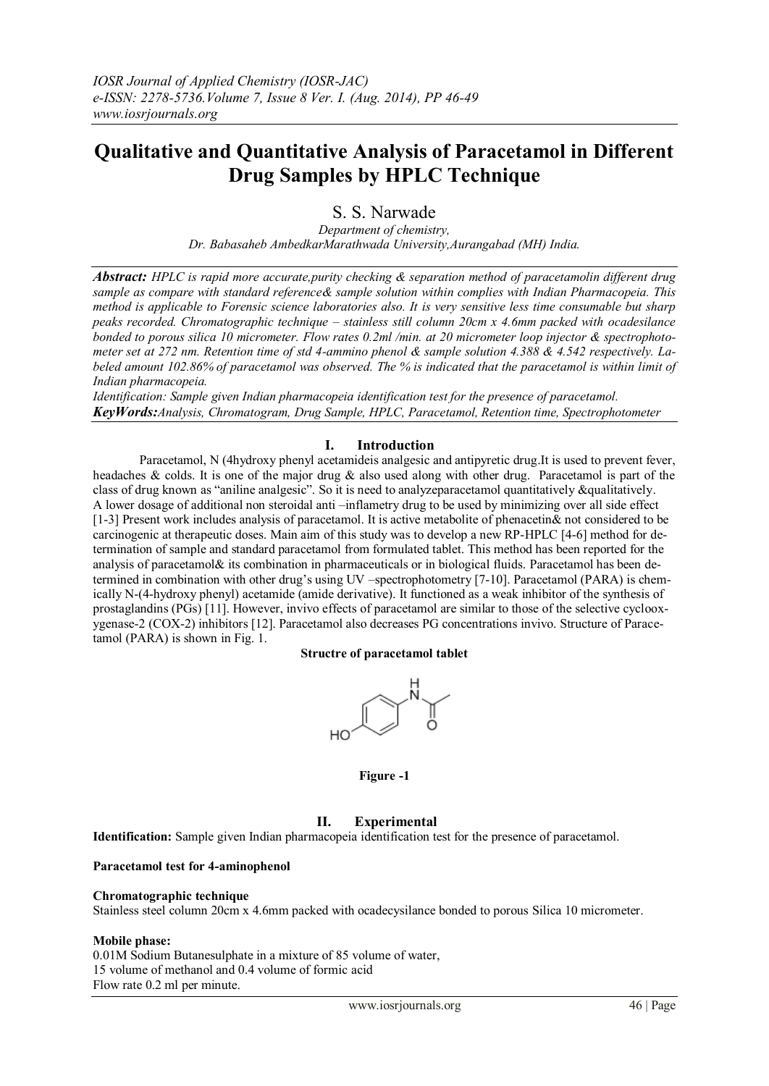# **Qualitative and Quantitative Analysis of Paracetamol in Different Drug Samples by HPLC Technique**

S. S. Narwade

*Department of chemistry, Dr. Babasaheb AmbedkarMarathwada University,Aurangabad (MH) India.*

*Abstract: HPLC is rapid more accurate,purity checking & separation method of paracetamolin different drug sample as compare with standard reference& sample solution within complies with Indian Pharmacopeia. This method is applicable to Forensic science laboratories also. It is very sensitive less time consumable but sharp peaks recorded. Chromatographic technique – stainless still column 20cm x 4.6mm packed with ocadesilance bonded to porous silica 10 micrometer. Flow rates 0.2ml /min. at 20 micrometer loop injector & spectrophotometer set at 272 nm. Retention time of std 4-ammino phenol & sample solution 4.388 & 4.542 respectively. Labeled amount 102.86% of paracetamol was observed. The % is indicated that the paracetamol is within limit of Indian pharmacopeia.*

*Identification: Sample given Indian pharmacopeia identification test for the presence of paracetamol. KeyWords:Analysis, Chromatogram, Drug Sample, HPLC, Paracetamol, Retention time, Spectrophotometer*

# **I. Introduction**

Paracetamol, N (4hydroxy phenyl acetamideis analgesic and antipyretic drug.It is used to prevent fever, headaches & colds. It is one of the major drug & also used along with other drug. Paracetamol is part of the class of drug known as "aniline analgesic". So it is need to analyzeparacetamol quantitatively &qualitatively. A lower dosage of additional non steroidal anti –inflametry drug to be used by minimizing over all side effect [1-3] Present work includes analysis of paracetamol. It is active metabolite of phenacetin& not considered to be carcinogenic at therapeutic doses. Main aim of this study was to develop a new RP-HPLC [4-6] method for determination of sample and standard paracetamol from formulated tablet. This method has been reported for the analysis of paracetamol& its combination in pharmaceuticals or in biological fluids. Paracetamol has been determined in combination with other drug's using UV –spectrophotometry [7-10]. Paracetamol (PARA) is chemically N-(4-hydroxy phenyl) acetamide (amide derivative). It functioned as a weak inhibitor of the synthesis of prostaglandins (PGs) [11]. However, invivo effects of paracetamol are similar to those of the selective cyclooxygenase-2 (COX-2) inhibitors [12]. Paracetamol also decreases PG concentrations invivo. Structure of Paracetamol (PARA) is shown in Fig. 1.

### **Structre of paracetamol tablet**



### **Figure -1**

# **II. Experimental**

**Identification:** Sample given Indian pharmacopeia identification test for the presence of paracetamol.

### **Paracetamol test for 4-aminophenol**

### **Chromatographic technique**

Stainless steel column 20cm x 4.6mm packed with ocadecysilance bonded to porous Silica 10 micrometer.

### **Mobile phase:**

0.01M Sodium Butanesulphate in a mixture of 85 volume of water, 15 volume of methanol and 0.4 volume of formic acid Flow rate 0.2 ml per minute.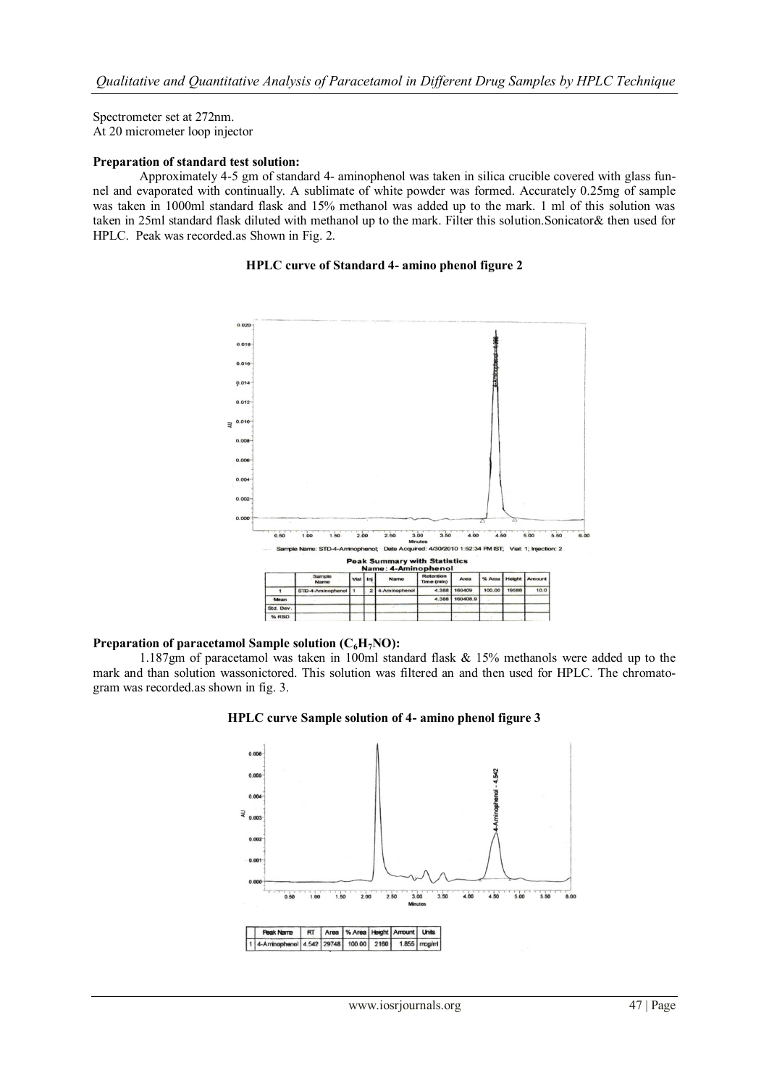Spectrometer set at 272nm. At 20 micrometer loop injector

### **Preparation of standard test solution:**

Approximately 4-5 gm of standard 4- aminophenol was taken in silica crucible covered with glass funnel and evaporated with continually. A sublimate of white powder was formed. Accurately 0.25mg of sample was taken in 1000ml standard flask and 15% methanol was added up to the mark. 1 ml of this solution was taken in 25ml standard flask diluted with methanol up to the mark. Filter this solution.Sonicator& then used for HPLC. Peak was recorded.as Shown in Fig. 2.

### **HPLC curve of Standard 4- amino phenol figure 2**



### **Preparation of paracetamol Sample solution (C6H7NO):**

1.187gm of paracetamol was taken in 100ml standard flask & 15% methanols were added up to the mark and than solution wassonictored. This solution was filtered an and then used for HPLC. The chromatogram was recorded.as shown in fig. 3.



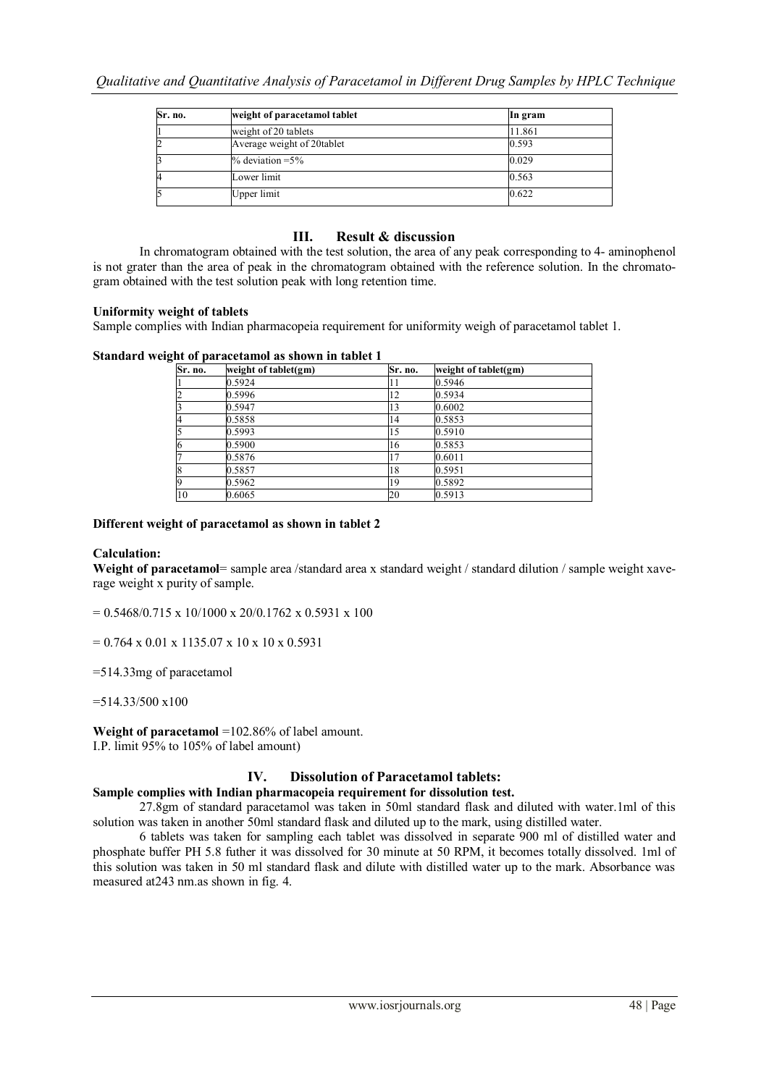| Sr. no. | weight of paracetamol tablet | In gram |  |
|---------|------------------------------|---------|--|
|         | weight of 20 tablets         | 11.861  |  |
| ∠       | Average weight of 20tablet   | 0.593   |  |
|         | $\%$ deviation = 5 $\%$      | 0.029   |  |
| 4       | Lower limit                  | 0.563   |  |
|         | Upper limit                  | 0.622   |  |

## **III. Result & discussion**

In chromatogram obtained with the test solution, the area of any peak corresponding to 4- aminophenol is not grater than the area of peak in the chromatogram obtained with the reference solution. In the chromatogram obtained with the test solution peak with long retention time.

### **Uniformity weight of tablets**

Sample complies with Indian pharmacopeia requirement for uniformity weigh of paracetamol tablet 1.

### **Standard weight of paracetamol as shown in tablet 1**

| Sr. no.                 | weight of tablet(gm) | Sr. no. | weight of tablet(gm) |
|-------------------------|----------------------|---------|----------------------|
|                         | 0.5924               | 11      | 0.5946               |
| 2                       | 0.5996               | 12      | 0.5934               |
| $\overline{\mathbf{3}}$ | 0.5947               | 13      | 0.6002               |
| 4                       | 0.5858               | 14      | 0.5853               |
| 5                       | 0.5993               | 15      | 0.5910               |
| 6                       | 0.5900               | 16      | 0.5853               |
| 7                       | 0.5876               | . 7     | 0.6011               |
| 8                       | 0.5857               | 18      | 0.5951               |
| 9                       | 0.5962               | 19      | 0.5892               |
| 10                      | 0.6065               | 20      | 0.5913               |

### **Different weight of paracetamol as shown in tablet 2**

### **Calculation:**

**Weight of paracetamol**= sample area /standard area x standard weight / standard dilution / sample weight xaverage weight x purity of sample.

 $= 0.5468/0.715 \times 10/1000 \times 20/0.1762 \times 0.5931 \times 100$ 

 $= 0.764 \times 0.01 \times 1135.07 \times 10 \times 10 \times 0.5931$ 

=514.33mg of paracetamol

 $=514.33/500 \times 100$ 

**Weight of paracetamol** =102.86% of label amount.

I.P. limit 95% to 105% of label amount)

### **IV. Dissolution of Paracetamol tablets:**

### **Sample complies with Indian pharmacopeia requirement for dissolution test.**

27.8gm of standard paracetamol was taken in 50ml standard flask and diluted with water.1ml of this solution was taken in another 50ml standard flask and diluted up to the mark, using distilled water.

6 tablets was taken for sampling each tablet was dissolved in separate 900 ml of distilled water and phosphate buffer PH 5.8 futher it was dissolved for 30 minute at 50 RPM, it becomes totally dissolved. 1ml of this solution was taken in 50 ml standard flask and dilute with distilled water up to the mark. Absorbance was measured at243 nm.as shown in fig. 4.